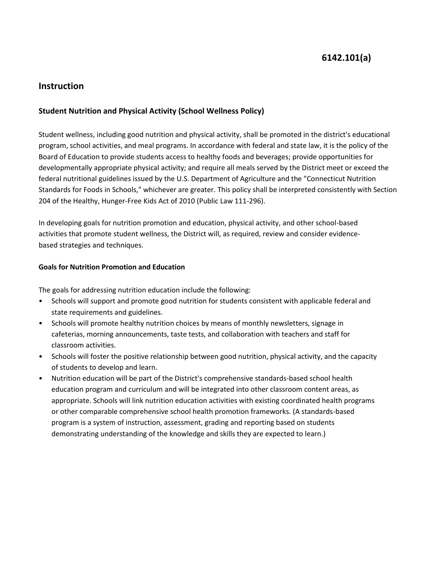# **6142.101(a)**

## **Instruction**

## **Student Nutrition and Physical Activity (School Wellness Policy)**

Student wellness, including good nutrition and physical activity, shall be promoted in the district's educational program, school activities, and meal programs. In accordance with federal and state law, it is the policy of the Board of Education to provide students access to healthy foods and beverages; provide opportunities for developmentally appropriate physical activity; and require all meals served by the District meet or exceed the federal nutritional guidelines issued by the U.S. Department of Agriculture and the "Connecticut Nutrition Standards for Foods in Schools," whichever are greater. This policy shall be interpreted consistently with Section 204 of the Healthy, Hunger-Free Kids Act of 2010 (Public Law 111-296).

In developing goals for nutrition promotion and education, physical activity, and other school-based activities that promote student wellness, the District will, as required, review and consider evidencebased strategies and techniques.

## **Goals for Nutrition Promotion and Education**

The goals for addressing nutrition education include the following:

- Schools will support and promote good nutrition for students consistent with applicable federal and state requirements and guidelines.
- Schools will promote healthy nutrition choices by means of monthly newsletters, signage in cafeterias, morning announcements, taste tests, and collaboration with teachers and staff for classroom activities.
- Schools will foster the positive relationship between good nutrition, physical activity, and the capacity of students to develop and learn.
- Nutrition education will be part of the District's comprehensive standards-based school health education program and curriculum and will be integrated into other classroom content areas, as appropriate. Schools will link nutrition education activities with existing coordinated health programs or other comparable comprehensive school health promotion frameworks. (A standards-based program is a system of instruction, assessment, grading and reporting based on students demonstrating understanding of the knowledge and skills they are expected to learn.)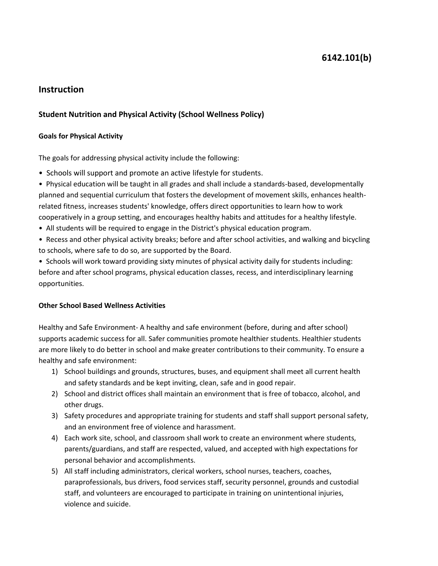# **6142.101(b)**

## **Instruction**

## **Student Nutrition and Physical Activity (School Wellness Policy)**

#### **Goals for Physical Activity**

The goals for addressing physical activity include the following:

- Schools will support and promote an active lifestyle for students.
- Physical education will be taught in all grades and shall include a standards-based, developmentally planned and sequential curriculum that fosters the development of movement skills, enhances healthrelated fitness, increases students' knowledge, offers direct opportunities to learn how to work cooperatively in a group setting, and encourages healthy habits and attitudes for a healthy lifestyle.
- All students will be required to engage in the District's physical education program.
- Recess and other physical activity breaks; before and after school activities, and walking and bicycling to schools, where safe to do so, are supported by the Board.
- Schools will work toward providing sixty minutes of physical activity daily for students including: before and after school programs, physical education classes, recess, and interdisciplinary learning opportunities.

#### **Other School Based Wellness Activities**

Healthy and Safe Environment- A healthy and safe environment (before, during and after school) supports academic success for all. Safer communities promote healthier students. Healthier students are more likely to do better in school and make greater contributions to their community. To ensure a healthy and safe environment:

- 1) School buildings and grounds, structures, buses, and equipment shall meet all current health and safety standards and be kept inviting, clean, safe and in good repair.
- 2) School and district offices shall maintain an environment that is free of tobacco, alcohol, and other drugs.
- 3) Safety procedures and appropriate training for students and staff shall support personal safety, and an environment free of violence and harassment.
- 4) Each work site, school, and classroom shall work to create an environment where students, parents/guardians, and staff are respected, valued, and accepted with high expectations for personal behavior and accomplishments.
- 5) All staff including administrators, clerical workers, school nurses, teachers, coaches, paraprofessionals, bus drivers, food services staff, security personnel, grounds and custodial staff, and volunteers are encouraged to participate in training on unintentional injuries, violence and suicide.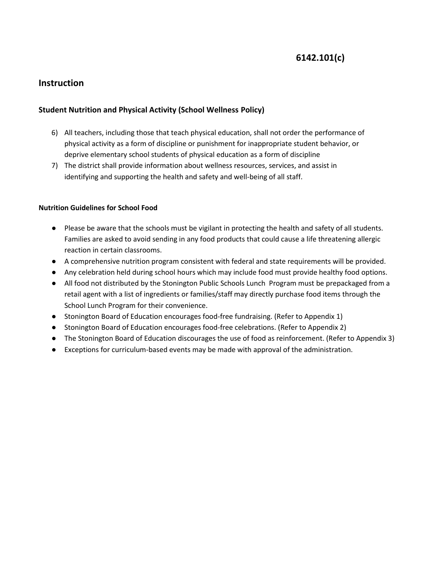# **6142.101(c)**

## **Instruction**

## **Student Nutrition and Physical Activity (School Wellness Policy)**

- 6) All teachers, including those that teach physical education, shall not order the performance of physical activity as a form of discipline or punishment for inappropriate student behavior, or deprive elementary school students of physical education as a form of discipline
- 7) The district shall provide information about wellness resources, services, and assist in identifying and supporting the health and safety and well-being of all staff.

## **Nutrition Guidelines for School Food**

- Please be aware that the schools must be vigilant in protecting the health and safety of all students. Families are asked to avoid sending in any food products that could cause a life threatening allergic reaction in certain classrooms.
- A comprehensive nutrition program consistent with federal and state requirements will be provided.
- Any celebration held during school hours which may include food must provide healthy food options.
- All food not distributed by the Stonington Public Schools Lunch Program must be prepackaged from a retail agent with a list of ingredients or families/staff may directly purchase food items through the School Lunch Program for their convenience.
- Stonington Board of Education encourages food-free fundraising. (Refer to Appendix 1)
- Stonington Board of Education encourages food-free celebrations. (Refer to Appendix 2)
- The Stonington Board of Education discourages the use of food as reinforcement. (Refer to Appendix 3)
- Exceptions for curriculum-based events may be made with approval of the administration.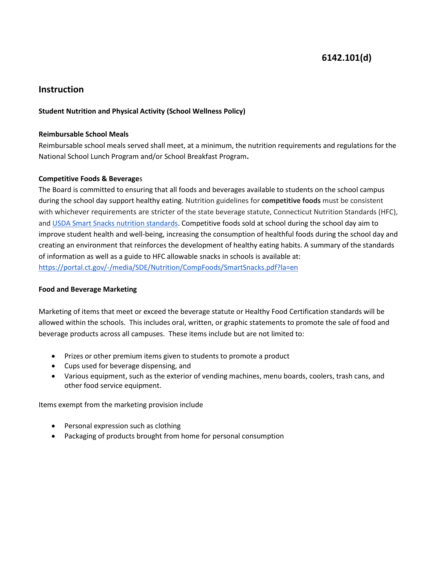# **6142.101(d)**

## **Instruction**

## **Student Nutrition and Physical Activity (School Wellness Policy)**

#### **Reimbursable School Meals**

Reimbursable school meals served shall meet, at a minimum, the nutrition requirements and regulations for the National School Lunch Program and/or School Breakfast Program**.**

#### **Competitive Foods & Beverage**s

The Board is committed to ensuring that all foods and beverages available to students on the school campus during the school day support healthy eating. Nutrition guidelines for **competitive foods** must be consistent with whichever requirements are stricter of the state beverage statute, Connecticut Nutrition Standards (HFC), and [USDA Smart Snacks nutrition standards.](https://portal.ct.gov/SDE/Nutrition/Smart-Snacks-Nutrition-Standards) Competitive foods sold at school during the school day aim to improve student health and well-being, increasing the consumption of healthful foods during the school day and creating an environment that reinforces the development of healthy eating habits. A summary of the standards of information as well as a guide to HFC allowable snacks in schools is available at: <https://portal.ct.gov/-/media/SDE/Nutrition/CompFoods/SmartSnacks.pdf?la=en>

#### **Food and Beverage Marketing**

Marketing of items that meet or exceed the beverage statute or Healthy Food Certification standards will be allowed within the schools. This includes oral, written, or graphic statements to promote the sale of food and beverage products across all campuses. These items include but are not limited to:

- Prizes or other premium items given to students to promote a product
- Cups used for beverage dispensing, and
- Various equipment, such as the exterior of vending machines, menu boards, coolers, trash cans, and other food service equipment.

Items exempt from the marketing provision include

- Personal expression such as clothing
- Packaging of products brought from home for personal consumption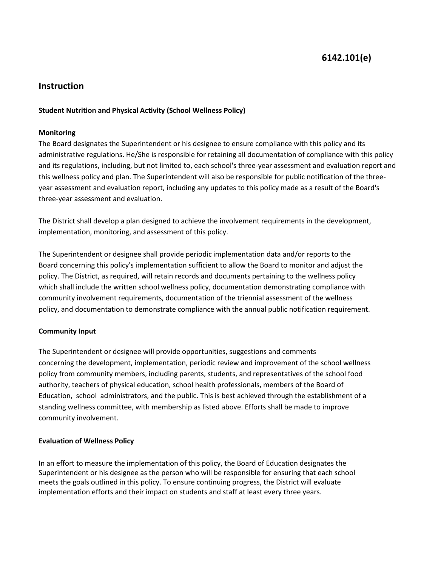# **6142.101(e)**

## **Instruction**

#### **Student Nutrition and Physical Activity (School Wellness Policy)**

#### **Monitoring**

The Board designates the Superintendent or his designee to ensure compliance with this policy and its administrative regulations. He/She is responsible for retaining all documentation of compliance with this policy and its regulations, including, but not limited to, each school's three-year assessment and evaluation report and this wellness policy and plan. The Superintendent will also be responsible for public notification of the threeyear assessment and evaluation report, including any updates to this policy made as a result of the Board's three-year assessment and evaluation.

The District shall develop a plan designed to achieve the involvement requirements in the development, implementation, monitoring, and assessment of this policy.

The Superintendent or designee shall provide periodic implementation data and/or reports to the Board concerning this policy's implementation sufficient to allow the Board to monitor and adjust the policy. The District, as required, will retain records and documents pertaining to the wellness policy which shall include the written school wellness policy, documentation demonstrating compliance with community involvement requirements, documentation of the triennial assessment of the wellness policy, and documentation to demonstrate compliance with the annual public notification requirement.

## **Community Input**

The Superintendent or designee will provide opportunities, suggestions and comments concerning the development, implementation, periodic review and improvement of the school wellness policy from community members, including parents, students, and representatives of the school food authority, teachers of physical education, school health professionals, members of the Board of Education, school administrators, and the public. This is best achieved through the establishment of a standing wellness committee, with membership as listed above. Efforts shall be made to improve community involvement.

#### **Evaluation of Wellness Policy**

In an effort to measure the implementation of this policy, the Board of Education designates the Superintendent or his designee as the person who will be responsible for ensuring that each school meets the goals outlined in this policy. To ensure continuing progress, the District will evaluate implementation efforts and their impact on students and staff at least every three years.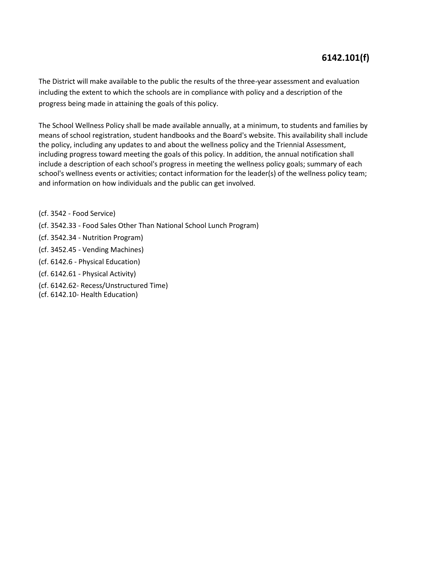# **6142.101(f)**

The District will make available to the public the results of the three-year assessment and evaluation including the extent to which the schools are in compliance with policy and a description of the progress being made in attaining the goals of this policy.

The School Wellness Policy shall be made available annually, at a minimum, to students and families by means of school registration, student handbooks and the Board's website. This availability shall include the policy, including any updates to and about the wellness policy and the Triennial Assessment, including progress toward meeting the goals of this policy. In addition, the annual notification shall include a description of each school's progress in meeting the wellness policy goals; summary of each school's wellness events or activities; contact information for the leader(s) of the wellness policy team; and information on how individuals and the public can get involved.

- (cf. 3542 Food Service)
- (cf. 3542.33 Food Sales Other Than National School Lunch Program)
- (cf. 3542.34 Nutrition Program)
- (cf. 3452.45 Vending Machines)
- (cf. 6142.6 Physical Education)
- (cf. 6142.61 Physical Activity)
- (cf. 6142.62- Recess/Unstructured Time)
- (cf. 6142.10- Health Education)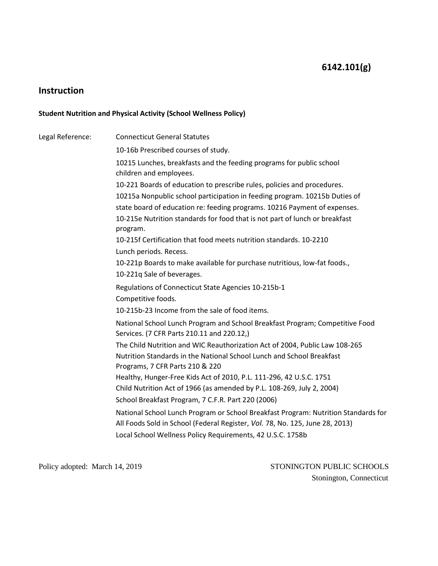# **Instruction**

## **Student Nutrition and Physical Activity (School Wellness Policy)**

| Legal Reference: | <b>Connecticut General Statutes</b>                                                                                                                                |
|------------------|--------------------------------------------------------------------------------------------------------------------------------------------------------------------|
|                  | 10-16b Prescribed courses of study.                                                                                                                                |
|                  | 10215 Lunches, breakfasts and the feeding programs for public school<br>children and employees.                                                                    |
|                  | 10-221 Boards of education to prescribe rules, policies and procedures.                                                                                            |
|                  | 10215a Nonpublic school participation in feeding program. 10215b Duties of                                                                                         |
|                  | state board of education re: feeding programs. 10216 Payment of expenses.                                                                                          |
|                  | 10-215e Nutrition standards for food that is not part of lunch or breakfast<br>program.                                                                            |
|                  | 10-215f Certification that food meets nutrition standards, 10-2210                                                                                                 |
|                  | Lunch periods. Recess.                                                                                                                                             |
|                  | 10-221p Boards to make available for purchase nutritious, low-fat foods.,                                                                                          |
|                  | 10-221q Sale of beverages.                                                                                                                                         |
|                  | Regulations of Connecticut State Agencies 10-215b-1                                                                                                                |
|                  | Competitive foods.                                                                                                                                                 |
|                  | 10-215b-23 Income from the sale of food items.                                                                                                                     |
|                  | National School Lunch Program and School Breakfast Program; Competitive Food<br>Services. (7 CFR Parts 210.11 and 220.12,)                                         |
|                  | The Child Nutrition and WIC Reauthorization Act of 2004, Public Law 108-265                                                                                        |
|                  | Nutrition Standards in the National School Lunch and School Breakfast<br>Programs, 7 CFR Parts 210 & 220                                                           |
|                  | Healthy, Hunger-Free Kids Act of 2010, P.L. 111-296, 42 U.S.C. 1751                                                                                                |
|                  | Child Nutrition Act of 1966 (as amended by P.L. 108-269, July 2, 2004)                                                                                             |
|                  | School Breakfast Program, 7 C.F.R. Part 220 (2006)                                                                                                                 |
|                  | National School Lunch Program or School Breakfast Program: Nutrition Standards for<br>All Foods Sold in School (Federal Register, Vol. 78, No. 125, June 28, 2013) |
|                  | Local School Wellness Policy Requirements, 42 U.S.C. 1758b                                                                                                         |
|                  |                                                                                                                                                                    |

Policy adopted: March 14, 2019 STONINGTON PUBLIC SCHOOLS Stonington, Connecticut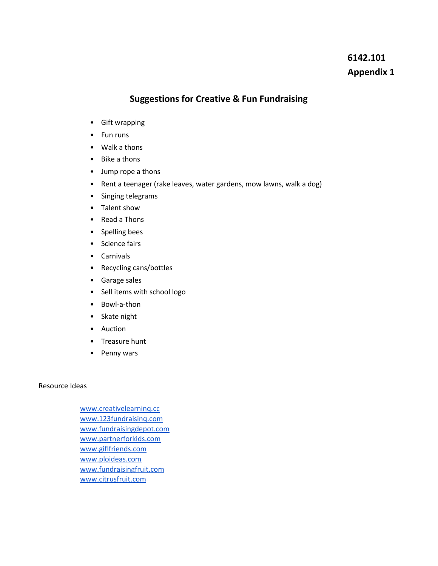# **6142.101 Appendix 1**

## **Suggestions for Creative & Fun Fundraising**

- Gift wrapping
- Fun runs
- Walk a thons
- Bike a thons
- Jump rope a thons
- Rent a teenager (rake leaves, water gardens, mow lawns, walk a dog)
- Singing telegrams
- Talent show
- Read a Thons
- Spelling bees
- Science fairs
- Carnivals
- Recycling cans/bottles
- Garage sales
- Sell items with school logo
- Bowl-a-thon
- Skate night
- Auction
- Treasure hunt
- Penny wars

## Resource Ideas

[www.creativelearninq.cc](http://www.creativelearninq.cc/) [www.123fundraisinq.com](http://www.123fundraisinq.com/) [www.fundraisingdepot.com](http://www.fundraisingdepot.com/) [www.partnerforkids.com](http://www.partnerforkids.com/) [www.giflfriends.com](http://www.giflfriends.com/) [www.ploideas.com](http://www.ploideas.com/) [www.fundraisingfruit.com](http://www.fundraisingfruit.com/) [www.citrusfruit.com](http://www.citrusfruit.com/)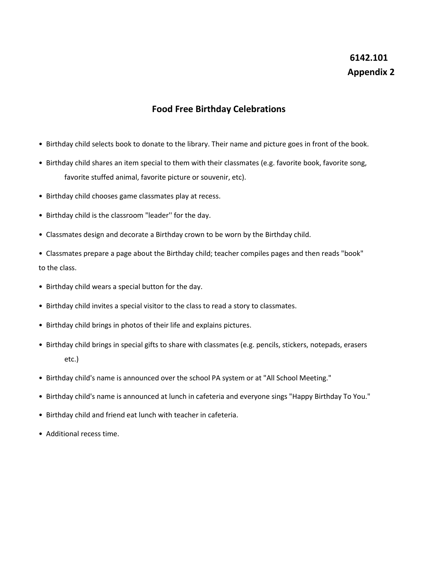# **6142.101 Appendix 2**

## **Food Free Birthday Celebrations**

- Birthday child selects book to donate to the library. Their name and picture goes in front of the book.
- Birthday child shares an item special to them with their classmates (e.g. favorite book, favorite song, favorite stuffed animal, favorite picture or souvenir, etc).
- Birthday child chooses game classmates play at recess.
- Birthday child is the classroom "leader'' for the day.
- Classmates design and decorate a Birthday crown to be worn by the Birthday child.
- Classmates prepare a page about the Birthday child; teacher compiles pages and then reads "book" to the class.
- Birthday child wears a special button for the day.
- Birthday child invites a special visitor to the class to read a story to classmates.
- Birthday child brings in photos of their life and explains pictures.
- Birthday child brings in special gifts to share with classmates (e.g. pencils, stickers, notepads, erasers etc.)
- Birthday child's name is announced over the school PA system or at "All School Meeting."
- Birthday child's name is announced at lunch in cafeteria and everyone sings "Happy Birthday To You."
- Birthday child and friend eat lunch with teacher in cafeteria.
- Additional recess time.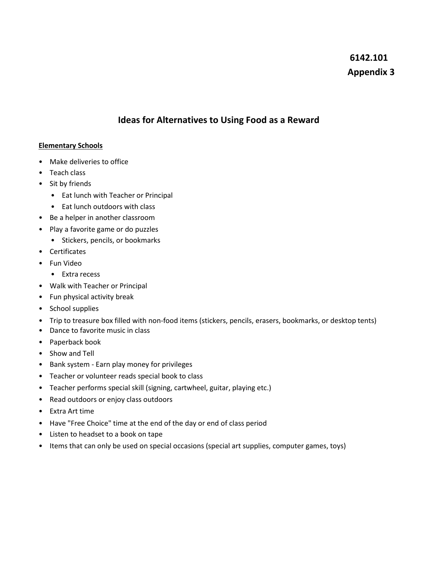# **6142.101 Appendix 3**

## **Ideas for Alternatives to Using Food as a Reward**

## **Elementary Schools**

- Make deliveries to office
- Teach class
- Sit by friends
	- Eat lunch with Teacher or Principal
	- Eat lunch outdoors with class
- Be a helper in another classroom
- Play a favorite game or do puzzles
	- Stickers, pencils, or bookmarks
- Certificates
- Fun Video
	- Extra recess
- Walk with Teacher or Principal
- Fun physical activity break
- School supplies
- Trip to treasure box filled with non-food items (stickers, pencils, erasers, bookmarks, or desktop tents)
- Dance to favorite music in class
- Paperback book
- Show and Tell
- Bank system Earn play money for privileges
- Teacher or volunteer reads special book to class
- Teacher performs special skill (signing, cartwheel, guitar, playing etc.)
- Read outdoors or enjoy class outdoors
- Extra Art time
- Have "Free Choice" time at the end of the day or end of class period
- Listen to headset to a book on tape
- Items that can only be used on special occasions (special art supplies, computer games, toys)